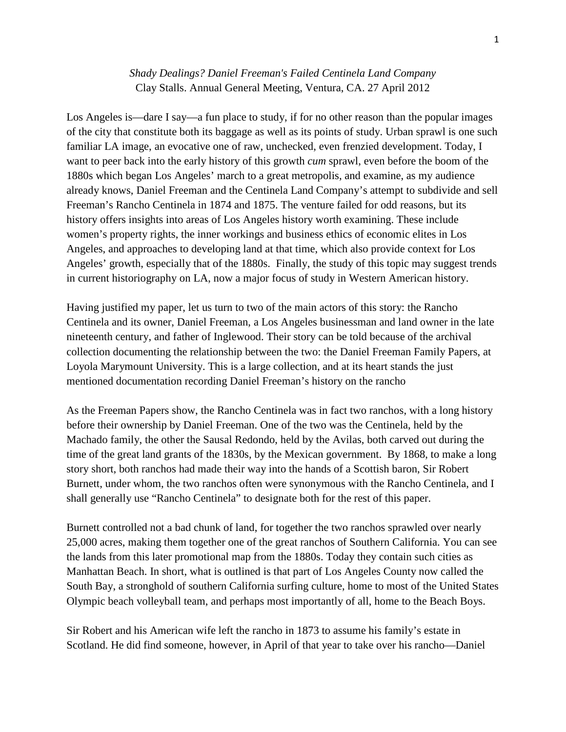## *Shady Dealings? Daniel Freeman's Failed Centinela Land Company* Clay Stalls. Annual General Meeting, Ventura, CA. 27 April 2012

Los Angeles is—dare I say—a fun place to study, if for no other reason than the popular images of the city that constitute both its baggage as well as its points of study. Urban sprawl is one such familiar LA image, an evocative one of raw, unchecked, even frenzied development. Today, I want to peer back into the early history of this growth *cum* sprawl, even before the boom of the 1880s which began Los Angeles' march to a great metropolis, and examine, as my audience already knows, Daniel Freeman and the Centinela Land Company's attempt to subdivide and sell Freeman's Rancho Centinela in 1874 and 1875. The venture failed for odd reasons, but its history offers insights into areas of Los Angeles history worth examining. These include women's property rights, the inner workings and business ethics of economic elites in Los Angeles, and approaches to developing land at that time, which also provide context for Los Angeles' growth, especially that of the 1880s. Finally, the study of this topic may suggest trends in current historiography on LA, now a major focus of study in Western American history.

Having justified my paper, let us turn to two of the main actors of this story: the Rancho Centinela and its owner, Daniel Freeman, a Los Angeles businessman and land owner in the late nineteenth century, and father of Inglewood. Their story can be told because of the archival collection documenting the relationship between the two: the Daniel Freeman Family Papers, at Loyola Marymount University. This is a large collection, and at its heart stands the just mentioned documentation recording Daniel Freeman's history on the rancho

As the Freeman Papers show, the Rancho Centinela was in fact two ranchos, with a long history before their ownership by Daniel Freeman. One of the two was the Centinela, held by the Machado family, the other the Sausal Redondo, held by the Avilas, both carved out during the time of the great land grants of the 1830s, by the Mexican government. By 1868, to make a long story short, both ranchos had made their way into the hands of a Scottish baron, Sir Robert Burnett, under whom, the two ranchos often were synonymous with the Rancho Centinela, and I shall generally use "Rancho Centinela" to designate both for the rest of this paper.

Burnett controlled not a bad chunk of land, for together the two ranchos sprawled over nearly 25,000 acres, making them together one of the great ranchos of Southern California. You can see the lands from this later promotional map from the 1880s. Today they contain such cities as Manhattan Beach. In short, what is outlined is that part of Los Angeles County now called the South Bay, a stronghold of southern California surfing culture, home to most of the United States Olympic beach volleyball team, and perhaps most importantly of all, home to the Beach Boys.

Sir Robert and his American wife left the rancho in 1873 to assume his family's estate in Scotland. He did find someone, however, in April of that year to take over his rancho—Daniel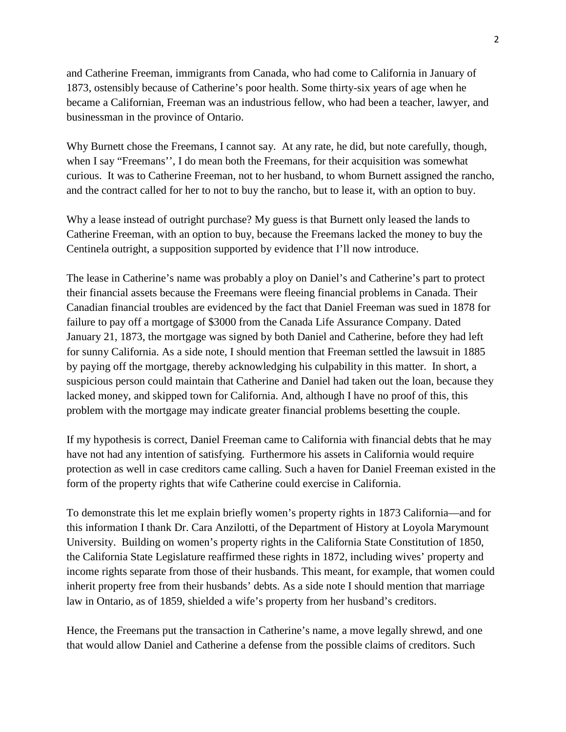and Catherine Freeman, immigrants from Canada, who had come to California in January of 1873, ostensibly because of Catherine's poor health. Some thirty-six years of age when he became a Californian, Freeman was an industrious fellow, who had been a teacher, lawyer, and businessman in the province of Ontario.

Why Burnett chose the Freemans, I cannot say. At any rate, he did, but note carefully, though, when I say "Freemans'', I do mean both the Freemans, for their acquisition was somewhat curious. It was to Catherine Freeman, not to her husband, to whom Burnett assigned the rancho, and the contract called for her to not to buy the rancho, but to lease it, with an option to buy.

Why a lease instead of outright purchase? My guess is that Burnett only leased the lands to Catherine Freeman, with an option to buy, because the Freemans lacked the money to buy the Centinela outright, a supposition supported by evidence that I'll now introduce.

The lease in Catherine's name was probably a ploy on Daniel's and Catherine's part to protect their financial assets because the Freemans were fleeing financial problems in Canada. Their Canadian financial troubles are evidenced by the fact that Daniel Freeman was sued in 1878 for failure to pay off a mortgage of \$3000 from the Canada Life Assurance Company. Dated January 21, 1873, the mortgage was signed by both Daniel and Catherine, before they had left for sunny California. As a side note, I should mention that Freeman settled the lawsuit in 1885 by paying off the mortgage, thereby acknowledging his culpability in this matter. In short, a suspicious person could maintain that Catherine and Daniel had taken out the loan, because they lacked money, and skipped town for California. And, although I have no proof of this, this problem with the mortgage may indicate greater financial problems besetting the couple.

If my hypothesis is correct, Daniel Freeman came to California with financial debts that he may have not had any intention of satisfying. Furthermore his assets in California would require protection as well in case creditors came calling. Such a haven for Daniel Freeman existed in the form of the property rights that wife Catherine could exercise in California.

To demonstrate this let me explain briefly women's property rights in 1873 California—and for this information I thank Dr. Cara Anzilotti, of the Department of History at Loyola Marymount University. Building on women's property rights in the California State Constitution of 1850, the California State Legislature reaffirmed these rights in 1872, including wives' property and income rights separate from those of their husbands. This meant, for example, that women could inherit property free from their husbands' debts. As a side note I should mention that marriage law in Ontario, as of 1859, shielded a wife's property from her husband's creditors.

Hence, the Freemans put the transaction in Catherine's name, a move legally shrewd, and one that would allow Daniel and Catherine a defense from the possible claims of creditors. Such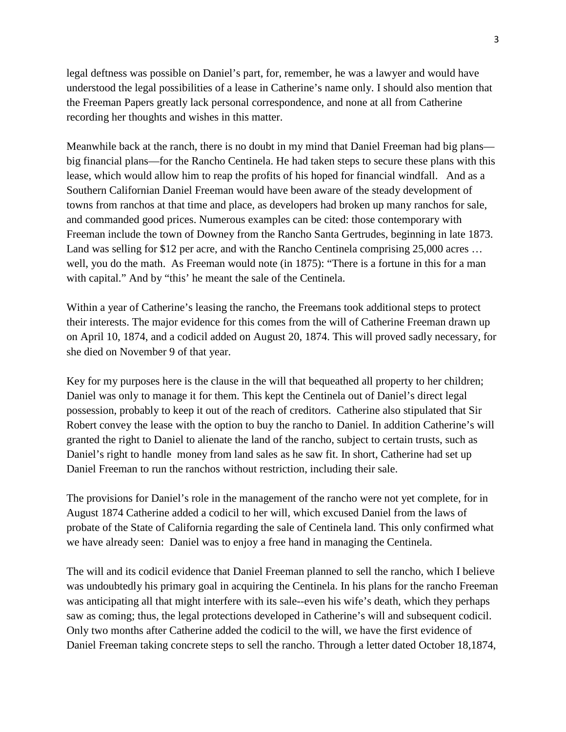legal deftness was possible on Daniel's part, for, remember, he was a lawyer and would have understood the legal possibilities of a lease in Catherine's name only. I should also mention that the Freeman Papers greatly lack personal correspondence, and none at all from Catherine recording her thoughts and wishes in this matter.

Meanwhile back at the ranch, there is no doubt in my mind that Daniel Freeman had big plans big financial plans—for the Rancho Centinela. He had taken steps to secure these plans with this lease, which would allow him to reap the profits of his hoped for financial windfall. And as a Southern Californian Daniel Freeman would have been aware of the steady development of towns from ranchos at that time and place, as developers had broken up many ranchos for sale, and commanded good prices. Numerous examples can be cited: those contemporary with Freeman include the town of Downey from the Rancho Santa Gertrudes, beginning in late 1873. Land was selling for \$12 per acre, and with the Rancho Centinela comprising 25,000 acres ... well, you do the math. As Freeman would note (in 1875): "There is a fortune in this for a man with capital." And by "this' he meant the sale of the Centinela.

Within a year of Catherine's leasing the rancho, the Freemans took additional steps to protect their interests. The major evidence for this comes from the will of Catherine Freeman drawn up on April 10, 1874, and a codicil added on August 20, 1874. This will proved sadly necessary, for she died on November 9 of that year.

Key for my purposes here is the clause in the will that bequeathed all property to her children; Daniel was only to manage it for them. This kept the Centinela out of Daniel's direct legal possession, probably to keep it out of the reach of creditors. Catherine also stipulated that Sir Robert convey the lease with the option to buy the rancho to Daniel. In addition Catherine's will granted the right to Daniel to alienate the land of the rancho, subject to certain trusts, such as Daniel's right to handle money from land sales as he saw fit. In short, Catherine had set up Daniel Freeman to run the ranchos without restriction, including their sale.

The provisions for Daniel's role in the management of the rancho were not yet complete, for in August 1874 Catherine added a codicil to her will, which excused Daniel from the laws of probate of the State of California regarding the sale of Centinela land. This only confirmed what we have already seen: Daniel was to enjoy a free hand in managing the Centinela.

The will and its codicil evidence that Daniel Freeman planned to sell the rancho, which I believe was undoubtedly his primary goal in acquiring the Centinela. In his plans for the rancho Freeman was anticipating all that might interfere with its sale--even his wife's death, which they perhaps saw as coming; thus, the legal protections developed in Catherine's will and subsequent codicil. Only two months after Catherine added the codicil to the will, we have the first evidence of Daniel Freeman taking concrete steps to sell the rancho. Through a letter dated October 18,1874,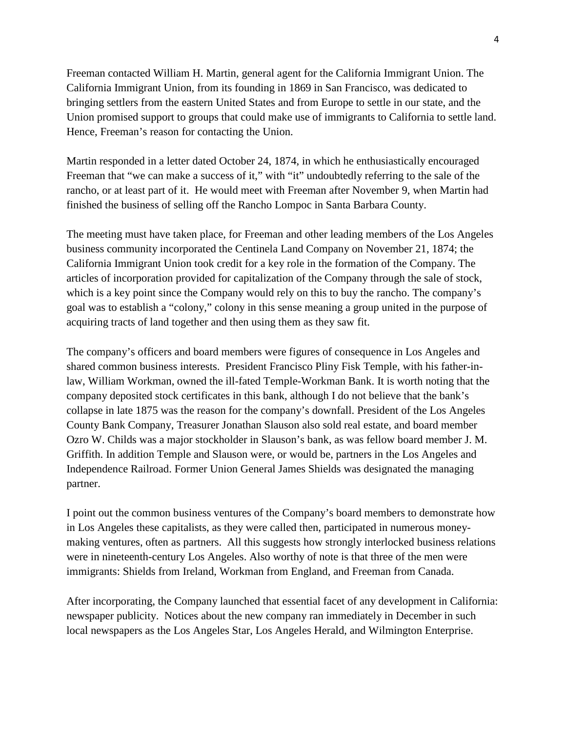Freeman contacted William H. Martin, general agent for the California Immigrant Union. The California Immigrant Union, from its founding in 1869 in San Francisco, was dedicated to bringing settlers from the eastern United States and from Europe to settle in our state, and the Union promised support to groups that could make use of immigrants to California to settle land. Hence, Freeman's reason for contacting the Union.

Martin responded in a letter dated October 24, 1874, in which he enthusiastically encouraged Freeman that "we can make a success of it," with "it" undoubtedly referring to the sale of the rancho, or at least part of it. He would meet with Freeman after November 9, when Martin had finished the business of selling off the Rancho Lompoc in Santa Barbara County.

The meeting must have taken place, for Freeman and other leading members of the Los Angeles business community incorporated the Centinela Land Company on November 21, 1874; the California Immigrant Union took credit for a key role in the formation of the Company. The articles of incorporation provided for capitalization of the Company through the sale of stock, which is a key point since the Company would rely on this to buy the rancho. The company's goal was to establish a "colony," colony in this sense meaning a group united in the purpose of acquiring tracts of land together and then using them as they saw fit.

The company's officers and board members were figures of consequence in Los Angeles and shared common business interests. President Francisco Pliny Fisk Temple, with his father-inlaw, William Workman, owned the ill-fated Temple-Workman Bank. It is worth noting that the company deposited stock certificates in this bank, although I do not believe that the bank's collapse in late 1875 was the reason for the company's downfall. President of the Los Angeles County Bank Company, Treasurer Jonathan Slauson also sold real estate, and board member Ozro W. Childs was a major stockholder in Slauson's bank, as was fellow board member J. M. Griffith. In addition Temple and Slauson were, or would be, partners in the Los Angeles and Independence Railroad. Former Union General James Shields was designated the managing partner.

I point out the common business ventures of the Company's board members to demonstrate how in Los Angeles these capitalists, as they were called then, participated in numerous moneymaking ventures, often as partners. All this suggests how strongly interlocked business relations were in nineteenth-century Los Angeles. Also worthy of note is that three of the men were immigrants: Shields from Ireland, Workman from England, and Freeman from Canada.

After incorporating, the Company launched that essential facet of any development in California: newspaper publicity. Notices about the new company ran immediately in December in such local newspapers as the Los Angeles Star, Los Angeles Herald, and Wilmington Enterprise.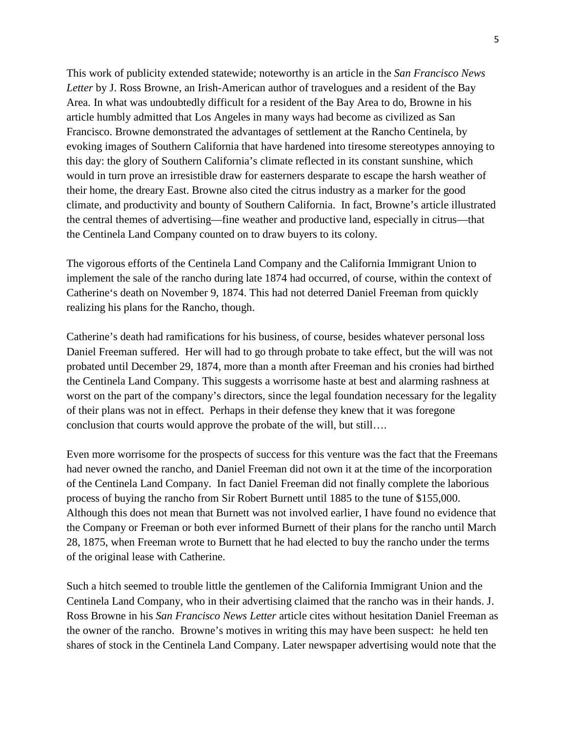This work of publicity extended statewide; noteworthy is an article in the *San Francisco News Letter* by J. Ross Browne, an Irish-American author of travelogues and a resident of the Bay Area. In what was undoubtedly difficult for a resident of the Bay Area to do, Browne in his article humbly admitted that Los Angeles in many ways had become as civilized as San Francisco. Browne demonstrated the advantages of settlement at the Rancho Centinela, by evoking images of Southern California that have hardened into tiresome stereotypes annoying to this day: the glory of Southern California's climate reflected in its constant sunshine, which would in turn prove an irresistible draw for easterners desparate to escape the harsh weather of their home, the dreary East. Browne also cited the citrus industry as a marker for the good climate, and productivity and bounty of Southern California. In fact, Browne's article illustrated the central themes of advertising—fine weather and productive land, especially in citrus—that the Centinela Land Company counted on to draw buyers to its colony.

The vigorous efforts of the Centinela Land Company and the California Immigrant Union to implement the sale of the rancho during late 1874 had occurred, of course, within the context of Catherine's death on November 9, 1874. This had not deterred Daniel Freeman from quickly realizing his plans for the Rancho, though.

Catherine's death had ramifications for his business, of course, besides whatever personal loss Daniel Freeman suffered. Her will had to go through probate to take effect, but the will was not probated until December 29, 1874, more than a month after Freeman and his cronies had birthed the Centinela Land Company. This suggests a worrisome haste at best and alarming rashness at worst on the part of the company's directors, since the legal foundation necessary for the legality of their plans was not in effect. Perhaps in their defense they knew that it was foregone conclusion that courts would approve the probate of the will, but still….

Even more worrisome for the prospects of success for this venture was the fact that the Freemans had never owned the rancho, and Daniel Freeman did not own it at the time of the incorporation of the Centinela Land Company. In fact Daniel Freeman did not finally complete the laborious process of buying the rancho from Sir Robert Burnett until 1885 to the tune of \$155,000. Although this does not mean that Burnett was not involved earlier, I have found no evidence that the Company or Freeman or both ever informed Burnett of their plans for the rancho until March 28, 1875, when Freeman wrote to Burnett that he had elected to buy the rancho under the terms of the original lease with Catherine.

Such a hitch seemed to trouble little the gentlemen of the California Immigrant Union and the Centinela Land Company, who in their advertising claimed that the rancho was in their hands. J. Ross Browne in his *San Francisco News Letter* article cites without hesitation Daniel Freeman as the owner of the rancho. Browne's motives in writing this may have been suspect: he held ten shares of stock in the Centinela Land Company. Later newspaper advertising would note that the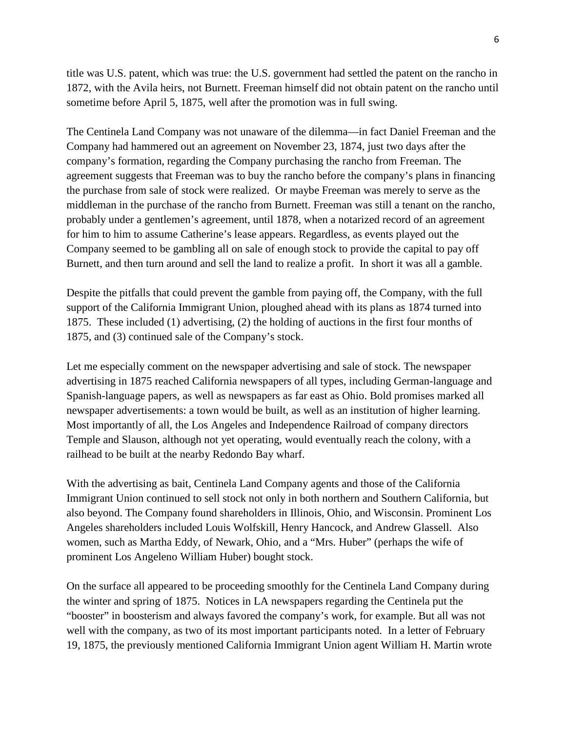title was U.S. patent, which was true: the U.S. government had settled the patent on the rancho in 1872, with the Avila heirs, not Burnett. Freeman himself did not obtain patent on the rancho until sometime before April 5, 1875, well after the promotion was in full swing.

The Centinela Land Company was not unaware of the dilemma—in fact Daniel Freeman and the Company had hammered out an agreement on November 23, 1874, just two days after the company's formation, regarding the Company purchasing the rancho from Freeman. The agreement suggests that Freeman was to buy the rancho before the company's plans in financing the purchase from sale of stock were realized. Or maybe Freeman was merely to serve as the middleman in the purchase of the rancho from Burnett. Freeman was still a tenant on the rancho, probably under a gentlemen's agreement, until 1878, when a notarized record of an agreement for him to him to assume Catherine's lease appears. Regardless, as events played out the Company seemed to be gambling all on sale of enough stock to provide the capital to pay off Burnett, and then turn around and sell the land to realize a profit. In short it was all a gamble.

Despite the pitfalls that could prevent the gamble from paying off, the Company, with the full support of the California Immigrant Union, ploughed ahead with its plans as 1874 turned into 1875. These included (1) advertising, (2) the holding of auctions in the first four months of 1875, and (3) continued sale of the Company's stock.

Let me especially comment on the newspaper advertising and sale of stock. The newspaper advertising in 1875 reached California newspapers of all types, including German-language and Spanish-language papers, as well as newspapers as far east as Ohio. Bold promises marked all newspaper advertisements: a town would be built, as well as an institution of higher learning. Most importantly of all, the Los Angeles and Independence Railroad of company directors Temple and Slauson, although not yet operating, would eventually reach the colony, with a railhead to be built at the nearby Redondo Bay wharf.

With the advertising as bait, Centinela Land Company agents and those of the California Immigrant Union continued to sell stock not only in both northern and Southern California, but also beyond. The Company found shareholders in Illinois, Ohio, and Wisconsin. Prominent Los Angeles shareholders included Louis Wolfskill, Henry Hancock, and Andrew Glassell. Also women, such as Martha Eddy, of Newark, Ohio, and a "Mrs. Huber" (perhaps the wife of prominent Los Angeleno William Huber) bought stock.

On the surface all appeared to be proceeding smoothly for the Centinela Land Company during the winter and spring of 1875. Notices in LA newspapers regarding the Centinela put the "booster" in boosterism and always favored the company's work, for example. But all was not well with the company, as two of its most important participants noted. In a letter of February 19, 1875, the previously mentioned California Immigrant Union agent William H. Martin wrote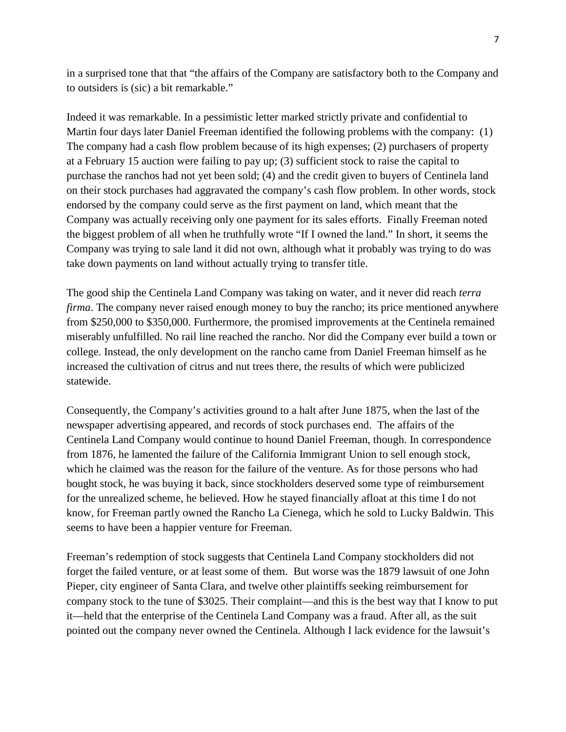in a surprised tone that that "the affairs of the Company are satisfactory both to the Company and to outsiders is (sic) a bit remarkable."

Indeed it was remarkable. In a pessimistic letter marked strictly private and confidential to Martin four days later Daniel Freeman identified the following problems with the company: (1) The company had a cash flow problem because of its high expenses; (2) purchasers of property at a February 15 auction were failing to pay up; (3) sufficient stock to raise the capital to purchase the ranchos had not yet been sold; (4) and the credit given to buyers of Centinela land on their stock purchases had aggravated the company's cash flow problem. In other words, stock endorsed by the company could serve as the first payment on land, which meant that the Company was actually receiving only one payment for its sales efforts. Finally Freeman noted the biggest problem of all when he truthfully wrote "If I owned the land." In short, it seems the Company was trying to sale land it did not own, although what it probably was trying to do was take down payments on land without actually trying to transfer title.

The good ship the Centinela Land Company was taking on water, and it never did reach *terra firma*. The company never raised enough money to buy the rancho; its price mentioned anywhere from \$250,000 to \$350,000. Furthermore, the promised improvements at the Centinela remained miserably unfulfilled. No rail line reached the rancho. Nor did the Company ever build a town or college. Instead, the only development on the rancho came from Daniel Freeman himself as he increased the cultivation of citrus and nut trees there, the results of which were publicized statewide.

Consequently, the Company's activities ground to a halt after June 1875, when the last of the newspaper advertising appeared, and records of stock purchases end. The affairs of the Centinela Land Company would continue to hound Daniel Freeman, though. In correspondence from 1876, he lamented the failure of the California Immigrant Union to sell enough stock, which he claimed was the reason for the failure of the venture. As for those persons who had bought stock, he was buying it back, since stockholders deserved some type of reimbursement for the unrealized scheme, he believed. How he stayed financially afloat at this time I do not know, for Freeman partly owned the Rancho La Cienega, which he sold to Lucky Baldwin. This seems to have been a happier venture for Freeman.

Freeman's redemption of stock suggests that Centinela Land Company stockholders did not forget the failed venture, or at least some of them. But worse was the 1879 lawsuit of one John Pieper, city engineer of Santa Clara, and twelve other plaintiffs seeking reimbursement for company stock to the tune of \$3025. Their complaint—and this is the best way that I know to put it—held that the enterprise of the Centinela Land Company was a fraud. After all, as the suit pointed out the company never owned the Centinela. Although I lack evidence for the lawsuit's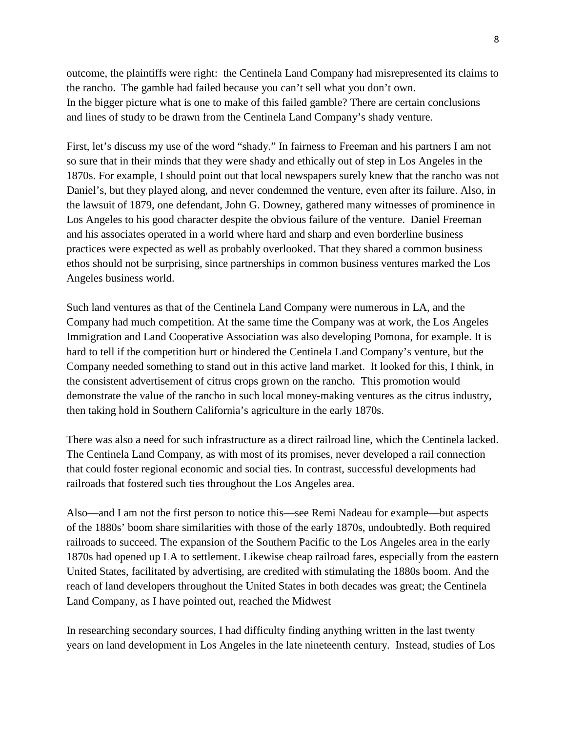outcome, the plaintiffs were right: the Centinela Land Company had misrepresented its claims to the rancho. The gamble had failed because you can't sell what you don't own. In the bigger picture what is one to make of this failed gamble? There are certain conclusions and lines of study to be drawn from the Centinela Land Company's shady venture.

First, let's discuss my use of the word "shady." In fairness to Freeman and his partners I am not so sure that in their minds that they were shady and ethically out of step in Los Angeles in the 1870s. For example, I should point out that local newspapers surely knew that the rancho was not Daniel's, but they played along, and never condemned the venture, even after its failure. Also, in the lawsuit of 1879, one defendant, John G. Downey, gathered many witnesses of prominence in Los Angeles to his good character despite the obvious failure of the venture. Daniel Freeman and his associates operated in a world where hard and sharp and even borderline business practices were expected as well as probably overlooked. That they shared a common business ethos should not be surprising, since partnerships in common business ventures marked the Los Angeles business world.

Such land ventures as that of the Centinela Land Company were numerous in LA, and the Company had much competition. At the same time the Company was at work, the Los Angeles Immigration and Land Cooperative Association was also developing Pomona, for example. It is hard to tell if the competition hurt or hindered the Centinela Land Company's venture, but the Company needed something to stand out in this active land market. It looked for this, I think, in the consistent advertisement of citrus crops grown on the rancho. This promotion would demonstrate the value of the rancho in such local money-making ventures as the citrus industry, then taking hold in Southern California's agriculture in the early 1870s.

There was also a need for such infrastructure as a direct railroad line, which the Centinela lacked. The Centinela Land Company, as with most of its promises, never developed a rail connection that could foster regional economic and social ties. In contrast, successful developments had railroads that fostered such ties throughout the Los Angeles area.

Also—and I am not the first person to notice this—see Remi Nadeau for example—but aspects of the 1880s' boom share similarities with those of the early 1870s, undoubtedly. Both required railroads to succeed. The expansion of the Southern Pacific to the Los Angeles area in the early 1870s had opened up LA to settlement. Likewise cheap railroad fares, especially from the eastern United States, facilitated by advertising, are credited with stimulating the 1880s boom. And the reach of land developers throughout the United States in both decades was great; the Centinela Land Company, as I have pointed out, reached the Midwest

In researching secondary sources, I had difficulty finding anything written in the last twenty years on land development in Los Angeles in the late nineteenth century. Instead, studies of Los